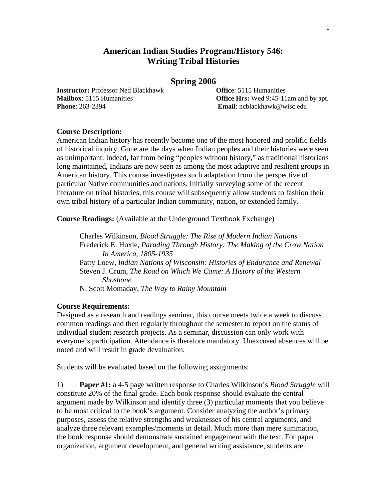## **American Indian Studies Program/History 546: Writing Tribal Histories**

### **Spring 2006**

**Instructor:** Professor Ned Blackhawk **Office**: 5115 Humanities **Phone**: 263-2394 **Email**: ncblackhawk@wisc.edu

**Mailbox**: 5115 Humanities **Office Hrs:** Wed 9:45-11am and by apt.

#### **Course Description:**

American Indian history has recently become one of the most honored and prolific fields of historical inquiry. Gone are the days when Indian peoples and their histories were seen as unimportant. Indeed, far from being "peoples without history," as traditional historians long maintained, Indians are now seen as among the most adaptive and resilient groups in American history. This course investigates such adaptation from the perspective of particular Native communities and nations. Initially surveying some of the recent literature on tribal histories, this course will subsequently allow students to fashion their own tribal history of a particular Indian community, nation, or extended family.

**Course Readings:** (Available at the Underground Textbook Exchange)

 Charles Wilkinson, *Blood Struggle: The Rise of Modern Indian Nations*  Frederick E. Hoxie, *Parading Through History: The Making of the Crow Nation In America, 1805-1935*  Patty Loew, *Indian Nations of Wisconsin: Histories of Endurance and Renewal*  Steven J. Crum, *The Road on Which We Came: A History of the Western Shoshone*  N. Scott Momaday, *The Way to Rainy Mountain* 

#### **Course Requirements:**

Designed as a research and readings seminar, this course meets twice a week to discuss common readings and then regularly throughout the semester to report on the status of individual student research projects. As a seminar, discussion can only work with everyone's participation. Attendance is therefore mandatory. Unexcused absences will be noted and will result in grade devaluation.

Students will be evaluated based on the following assignments:

1) **Paper #1:** a 4-5 page written response to Charles Wilkinson's *Blood Struggle* will constitute 20% of the final grade. Each book response should evaluate the central argument made by Wilkinson and identify three (3) particular moments that you believe to be most critical to the book's argument. Consider analyzing the author's primary purposes, assess the relative strengths and weaknesses of his central arguments, and analyze three relevant examples/moments in detail. Much more than mere summation, the book response should demonstrate sustained engagement with the text. For paper organization, argument development, and general writing assistance, students are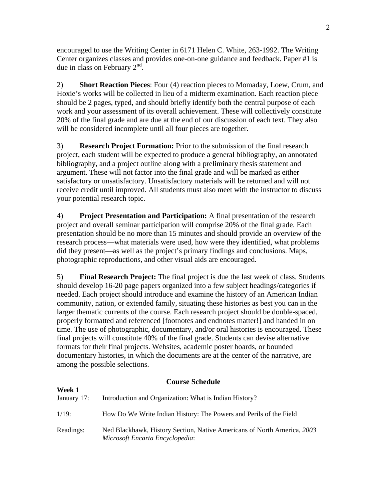encouraged to use the Writing Center in 6171 Helen C. White, 263-1992. The Writing Center organizes classes and provides one-on-one guidance and feedback. Paper #1 is due in class on February 2<sup>nd</sup>.

2) **Short Reaction Pieces**: Four (4) reaction pieces to Momaday, Loew, Crum, and Hoxie's works will be collected in lieu of a midterm examination. Each reaction piece should be 2 pages, typed, and should briefly identify both the central purpose of each work and your assessment of its overall achievement. These will collectively constitute 20% of the final grade and are due at the end of our discussion of each text. They also will be considered incomplete until all four pieces are together.

3) **Research Project Formation:** Prior to the submission of the final research project, each student will be expected to produce a general bibliography, an annotated bibliography, and a project outline along with a preliminary thesis statement and argument. These will not factor into the final grade and will be marked as either satisfactory or unsatisfactory. Unsatisfactory materials will be returned and will not receive credit until improved. All students must also meet with the instructor to discuss your potential research topic.

4) **Project Presentation and Participation:** A final presentation of the research project and overall seminar participation will comprise 20% of the final grade. Each presentation should be no more than 15 minutes and should provide an overview of the research process—what materials were used, how were they identified, what problems did they present—as well as the project's primary findings and conclusions. Maps, photographic reproductions, and other visual aids are encouraged.

5) **Final Research Project:** The final project is due the last week of class. Students should develop 16-20 page papers organized into a few subject headings/categories if needed. Each project should introduce and examine the history of an American Indian community, nation, or extended family, situating these histories as best you can in the larger thematic currents of the course. Each research project should be double-spaced, properly formatted and referenced [footnotes and endnotes matter!] and handed in on time. The use of photographic, documentary, and/or oral histories is encouraged. These final projects will constitute 40% of the final grade. Students can devise alternative formats for their final projects. Websites, academic poster boards, or bounded documentary histories, in which the documents are at the center of the narrative, are among the possible selections.

## **Course Schedule**

| Week 1<br>January 17: | Introduction and Organization: What is Indian History?                                                     |
|-----------------------|------------------------------------------------------------------------------------------------------------|
| 1/19:                 | How Do We Write Indian History: The Powers and Perils of the Field                                         |
| Readings:             | Ned Blackhawk, History Section, Native Americans of North America, 2003<br>Microsoft Encarta Encyclopedia: |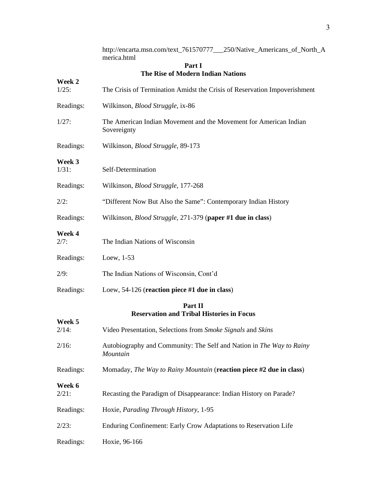|                    | http://encarta.msn.com/text_761570777__250/Native_Americans_of_North_A<br>merica.html |
|--------------------|---------------------------------------------------------------------------------------|
|                    | Part I<br>The Rise of Modern Indian Nations                                           |
| Week 2<br>$1/25$ : | The Crisis of Termination Amidst the Crisis of Reservation Impoverishment             |
| Readings:          | Wilkinson, Blood Struggle, ix-86                                                      |
| 1/27:              | The American Indian Movement and the Movement for American Indian<br>Sovereignty      |
| Readings:          | Wilkinson, Blood Struggle, 89-173                                                     |
| Week 3<br>$1/31$ : | Self-Determination                                                                    |
| Readings:          | Wilkinson, Blood Struggle, 177-268                                                    |
| 2/2:               | "Different Now But Also the Same": Contemporary Indian History                        |
| Readings:          | Wilkinson, <i>Blood Struggle</i> , 271-379 (paper #1 due in class)                    |
| Week 4<br>2/7:     | The Indian Nations of Wisconsin                                                       |
| Readings:          | Loew, $1-53$                                                                          |
| 2/9:               | The Indian Nations of Wisconsin, Cont'd                                               |
| Readings:          | Loew, $54-126$ (reaction piece #1 due in class)                                       |
|                    | Part II<br><b>Reservation and Tribal Histories in Focus</b>                           |
| Week 5<br>$2/14$ : | Video Presentation, Selections from Smoke Signals and Skins                           |
| $2/16$ :           | Autobiography and Community: The Self and Nation in The Way to Rainy<br>Mountain      |
| Readings:          | Momaday, The Way to Rainy Mountain (reaction piece #2 due in class)                   |
| Week 6<br>2/21:    | Recasting the Paradigm of Disappearance: Indian History on Parade?                    |
| Readings:          | Hoxie, Parading Through History, 1-95                                                 |
| 2/23:              | Enduring Confinement: Early Crow Adaptations to Reservation Life                      |
| Readings:          | Hoxie, 96-166                                                                         |